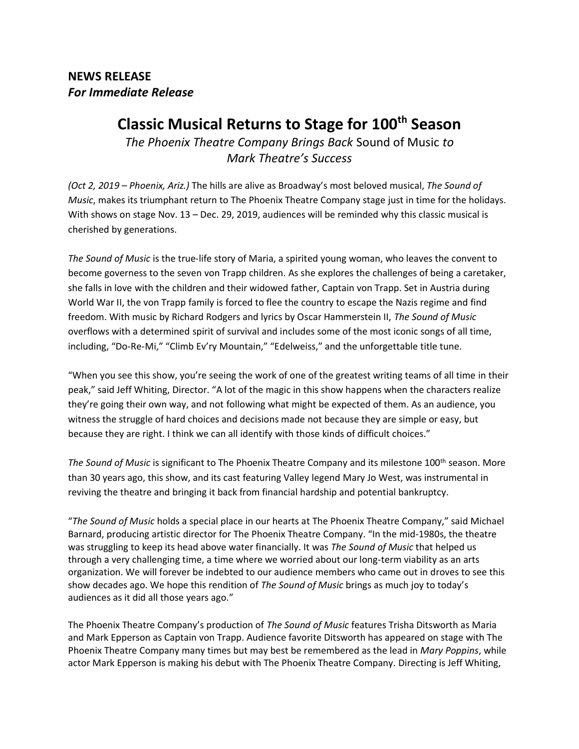**NEWS RELEASE** *For Immediate Release*

## **Classic Musical Returns to Stage for 100th Season**

*The Phoenix Theatre Company Brings Back* Sound of Music *to Mark Theatre's Success*

*(Oct 2, 2019 – Phoenix, Ariz.)* The hills are alive as Broadway's most beloved musical, *The Sound of Music*, makes its triumphant return to The Phoenix Theatre Company stage just in time for the holidays. With shows on stage Nov. 13 – Dec. 29, 2019, audiences will be reminded why this classic musical is cherished by generations.

*The Sound of Music* is the true-life story of Maria, a spirited young woman, who leaves the convent to become governess to the seven von Trapp children. As she explores the challenges of being a caretaker, she falls in love with the children and their widowed father, Captain von Trapp. Set in Austria during World War II, the von Trapp family is forced to flee the country to escape the Nazis regime and find freedom. With music by Richard Rodgers and lyrics by Oscar Hammerstein II, *The Sound of Music* overflows with a determined spirit of survival and includes some of the most iconic songs of all time, including, "Do-Re-Mi," "Climb Ev'ry Mountain," "Edelweiss," and the unforgettable title tune.

"When you see this show, you're seeing the work of one of the greatest writing teams of all time in their peak," said Jeff Whiting, Director. "A lot of the magic in this show happens when the characters realize they're going their own way, and not following what might be expected of them. As an audience, you witness the struggle of hard choices and decisions made not because they are simple or easy, but because they are right. I think we can all identify with those kinds of difficult choices."

The Sound of Music is significant to The Phoenix Theatre Company and its milestone 100<sup>th</sup> season. More than 30 years ago, this show, and its cast featuring Valley legend Mary Jo West, was instrumental in reviving the theatre and bringing it back from financial hardship and potential bankruptcy.

"*The Sound of Music* holds a special place in our hearts at The Phoenix Theatre Company," said Michael Barnard, producing artistic director for The Phoenix Theatre Company. "In the mid-1980s, the theatre was struggling to keep its head above water financially. It was *The Sound of Music* that helped us through a very challenging time, a time where we worried about our long-term viability as an arts organization. We will forever be indebted to our audience members who came out in droves to see this show decades ago. We hope this rendition of *The Sound of Music* brings as much joy to today's audiences as it did all those years ago."

The Phoenix Theatre Company's production of *The Sound of Music* features Trisha Ditsworth as Maria and Mark Epperson as Captain von Trapp. Audience favorite Ditsworth has appeared on stage with The Phoenix Theatre Company many times but may best be remembered as the lead in *Mary Poppins*, while actor Mark Epperson is making his debut with The Phoenix Theatre Company. Directing is Jeff Whiting,